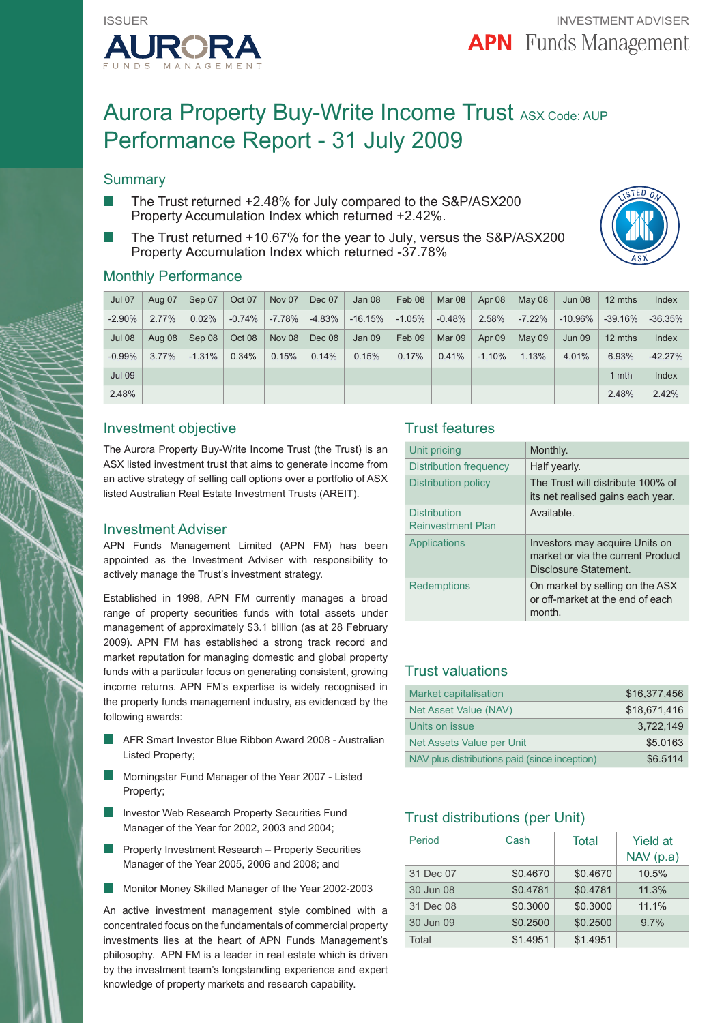

# Aurora Property Buy-Write Income Trust ASX Code: AUP Performance Report - 31 July 2009

# **Summary**

- The Trust returned +2.48% for July compared to the S&P/ASX200 Property Accumulation Index which returned +2.42%.
- The Trust returned +10.67% for the year to July, versus the S&P/ASX200 Property Accumulation Index which returned -37.78%



### Monthly Performance

| <b>Jul 07</b> | Aug 07   | Sep 07   | Oct 07   | Nov 07        | Dec 07   | Jan 08    | Feb 08   | Mar 08   | Apr 08   | May 08        | <b>Jun 08</b> | 12 mths   | Index     |
|---------------|----------|----------|----------|---------------|----------|-----------|----------|----------|----------|---------------|---------------|-----------|-----------|
| $-2.90%$      | $2.77\%$ | 0.02%    | $-0.74%$ | $-7.78%$      | $-4.83%$ | $-16.15%$ | $-1.05%$ | $-0.48%$ | 2.58%    | $-7.22%$      | $-10.96%$     | $-39.16%$ | $-36.35%$ |
| <b>Jul 08</b> | Aug 08   | Sep 08   | Oct 08   | <b>Nov 08</b> | Dec 08   | Jan 09    | Feb 09   | Mar 09   | Apr 09   | <b>May 09</b> | Jun 09        | 12 mths   | Index     |
| $-0.99%$      | $3.77\%$ | $-1.31%$ | 0.34%    | 0.15%         | 0.14%    | 0.15%     | 0.17%    | 0.41%    | $-1.10%$ | 1.13%         | 4.01%         | 6.93%     | $-42.27%$ |
| <b>Jul 09</b> |          |          |          |               |          |           |          |          |          |               |               | 1 mth     | Index     |
| 2.48%         |          |          |          |               |          |           |          |          |          |               |               | 2.48%     | 2.42%     |

# Investment objective

The Aurora Property Buy-Write Income Trust (the Trust) is an ASX listed investment trust that aims to generate income from an active strategy of selling call options over a portfolio of ASX listed Australian Real Estate Investment Trusts (AREIT).

#### Investment Adviser

APN Funds Management Limited (APN FM) has been appointed as the Investment Adviser with responsibility to actively manage the Trust's investment strategy.

Established in 1998, APN FM currently manages a broad range of property securities funds with total assets under management of approximately \$3.1 billion (as at 28 February 2009). APN FM has established a strong track record and market reputation for managing domestic and global property funds with a particular focus on generating consistent, growing income returns. APN FM's expertise is widely recognised in the property funds management industry, as evidenced by the following awards:

- AFR Smart Investor Blue Ribbon Award 2008 Australian Listed Property;
- Morningstar Fund Manager of the Year 2007 Listed Property;
- Investor Web Research Property Securities Fund Manager of the Year for 2002, 2003 and 2004;
- Property Investment Research Property Securities Manager of the Year 2005, 2006 and 2008; and
- Monitor Money Skilled Manager of the Year 2002-2003

An active investment management style combined with a concentrated focus on the fundamentals of commercial property investments lies at the heart of APN Funds Management's philosophy. APN FM is a leader in real estate which is driven by the investment team's longstanding experience and expert knowledge of property markets and research capability.

# Trust features

| Unit pricing                             | Monthly.                                                                                     |  |  |
|------------------------------------------|----------------------------------------------------------------------------------------------|--|--|
| Distribution frequency                   | Half yearly.                                                                                 |  |  |
| Distribution policy                      | The Trust will distribute 100% of<br>its net realised gains each year.                       |  |  |
| Distribution<br><b>Reinvestment Plan</b> | Available.                                                                                   |  |  |
| Applications                             | Investors may acquire Units on<br>market or via the current Product<br>Disclosure Statement. |  |  |
| Redemptions                              | On market by selling on the ASX<br>or off-market at the end of each<br>month.                |  |  |

# Trust valuations

| Market capitalisation                         | \$16,377,456 |
|-----------------------------------------------|--------------|
| Net Asset Value (NAV)                         | \$18,671,416 |
| Units on issue                                | 3.722.149    |
| Net Assets Value per Unit                     | \$5.0163     |
| NAV plus distributions paid (since inception) | \$6.5114     |

# Trust distributions (per Unit)

| Period    | Cash     | Total    | <b>Yield at</b><br>NAV(p.a) |
|-----------|----------|----------|-----------------------------|
| 31 Dec 07 | \$0.4670 | \$0.4670 | 10.5%                       |
| 30 Jun 08 | \$0.4781 | \$0.4781 | 11.3%                       |
| 31 Dec 08 | \$0.3000 | \$0.3000 | 11.1%                       |
| 30 Jun 09 | \$0.2500 | \$0.2500 | 9.7%                        |
| Total     | \$1.4951 | \$1.4951 |                             |